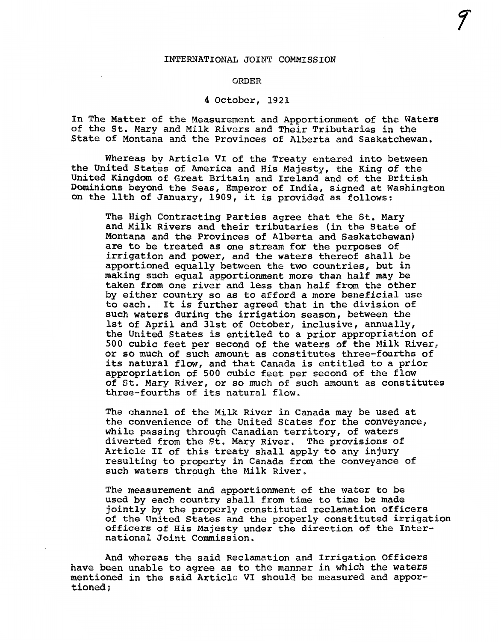## **ORDER**

## **4** October, 1921

In The Matter of the Measurement and Apportionment of the Waters of the St. **Mary** and Milk Rivers and Their Tributaries in the State of Montana and the Provinces of Alberta and Saskatchewan.

Whereas by Article VI of the Treaty entered into between the United States of America and His Majesty, the King of the United Kingdom of Great Britain and Ireland and of the British Dominions beyond the Seas, Emperor of India, signed at Washington on the 11th *of* January, 1909, it is provided as follows:

The High Contracting Parties agree that the St. Mary and Milk Rivers and their tributaries (in the State of Montana and the Provinces of Alberta and Saskatchewan) are to be treated as one stream for the purposes of irrigation and power, and the waters thereof shall be apportioned equally between the two countries, but in making such equal apportionment more than half may be taken from one river and less than half from the other by either country **so** as to afford a more beneficial use to each. It is further agreed that in the division of such waters during the irrigation season, between the 1st of April and 31st of October, inclusive, annually, the United States is entitled to a prior appropriation of 500 cubic feet per second of the waters of the Milk River, or **so** much of such amount as constitutes three-fourths of its natural flow, and that Canada is entitled to a prior appropriation of 500 cubic feet per second of the flow of St. Mary River, **or** so much of such amount as constitutes three-fourths of its natural flow.

The channel of the Milk River in Canada may be used at the convenience of the United States for the conveyance, while passing through Canadian territory, of waters diverted from the St. Mary River. **The** provisions *of*  Article I1 of this treaty shall apply to any injury resulting to property in Canada from the conveyance of such waters through the Milk River.

The measurement and apportionment of the water to be used by each country shall from time to time be made jointly by the properly constituted reclamation officers of the United States and the properly constituted irrigation **officers** of **His Majesty under** the direction of the Intsrnational Joint Commission.

And whereas the said Reclamation and Irrigation Officers have been unable to agree as to the manner in which the waters mentioned in the said Article VI should be measured and apportioned;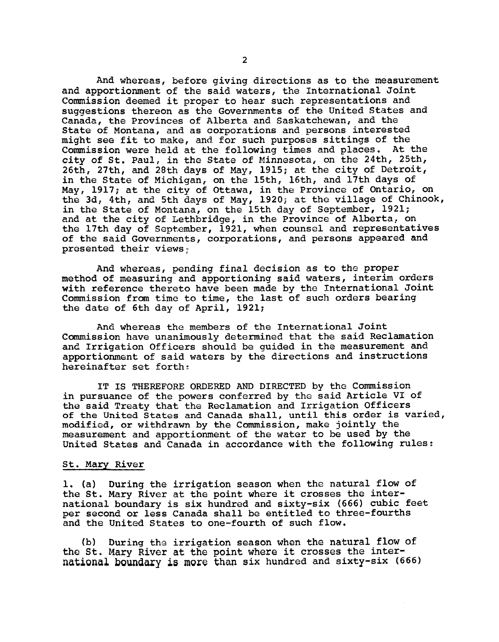And whereas, before giving directions as to the measurement and apportionment of the said waters, the International Joint Commission deemed it proper to hear such representations and suggestions thereon as the Governments of the United States and Canada, the Provinces of Alberta and Saskatchewan, and the State of Montana, and **as** corporations and persons interested might **see** fit to make, and for such purposes sittings of the Commission were held at the following times and places. At the city of St. **Paul,** in the State of Minnesota, on the 24th, 25th, 26th, 27th, and **28th** days of May, 1915; at the city of Detroit, in the State of Michigan, on the 15th, 16th, and 17th days of May, 1917; at the city of Ottawa, in the Province of Ontario, on the 3d, 4th, and 5th days of May, 1920; at the village of Chinook, in the State of Montana, on the 15th day of September, 1921; and at the city of Lethbridge, in the Province of Alberta, on the 17th day of September, 1921, when counsel and representatives of the said Governments, corporations, and persons appeared and presented their views;

And whereas, pending **final** decision as to the proper method of measuring and apportioning said waters, interim orders with reference thereto have been made by the International Joint Commission from time to time, the last of such orders bearing the date of 6th day of April, 1921;

And whereas the members of the International Joint Commission have unanimously determine6 that the said Reclamation and Irrigation Officers should be guided in the measurement and apportionment of said waters by the directions and instructions hereinafter set forth:

IT IS **THEREFORE** ORDERED AND DIRECTED by the Commission in pursuance of the powers conferred by the said Article VI of the said Treaty that the Reclamation and Irrigation Officers **of** the United States **and** Canada **shall,** until this order is varied, modified, or withdrawn by **the** Commission, **make** jointly the measurement and apportionment of the water to be used by the United States and Canada in accordance with the following rules:

## St. Mary River

1, (a) During the irrigation season when the natural flow of the St. Mary River at the point where it crosses the international boundary is six hundred and sixty-six (666) cubic feet per second or less Canada shall be entitled to three-fourths and the United States to one-fourth of such **flow.** 

**(b)** During **the** irrigation season **when** the **natural flow** of **the** St. Mary River at the point **where** it **crosses the** inter**natiOnal boundary is mQxe than six** hundred and sixty-six **(666)**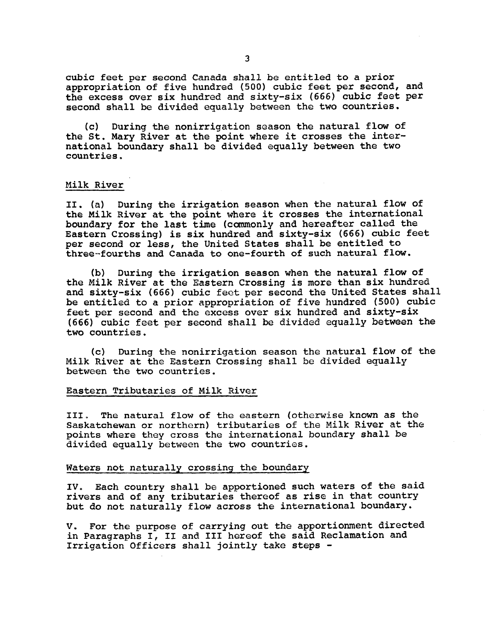cubic feet per second Canada shall be entitled to a prior appropriation of five hundred **(500)** cubic feet per second, and the excess over six hundred and sixty-six (666) cubic feet per second shall be divided equally between the two countries.

During the nonirrigation season the natural flow of the St. Mary River at the point where it crosses the international boundary shall be divided equally between the two countries,  $(c)$ 

# Milk River

11. (a) During the irrigation season when the natural flow of the Milk River at the point where it crosses the international boundary for the last time (commonly and hereafter called the Eastern Crossing) is six hundred and sixty-six **(666)** cubic feet per second or less, the United States shall be entitled to three-fourths and Canada to one-fourth of such natural **flow.** 

(b) During the irrigation season when the natural flow of the Milk River at the Eastern Crossing is more than six hundred and sixty-six **(666)** cubic feet per second the United States shall be entitled to a prior appropriation of five hundred **(500)** cubic feet per second and the excess over six hundred and sixty-six **(666)** cubic feet per second shall be divided equally between the two countries.

**(c)** During the nonirrigation season the natural flow of the Milk River at the Eastern Crossing shall be divided equally between the two countries.

### Eastern Tributaries of Milk River

**111.** The natural flow of the eastern (otherwise known as the Saskatchewan or northern) tributaries of the Milk River at the points where they cross the international boundary shall be divided equally between the two countries.

# Waters not naturally crossing the boundary

IV. Each country shall be apportioned such waters of the said rivers and of any tributaries thereof as rise in that country but do not naturally flow across the international boundary.

**V.**  For the purpose of carrying out the apportionment directed in Paragraphs I, **I1** and **I11** hereof the said Reclamation and Irrigation Officers shall jointly take steps -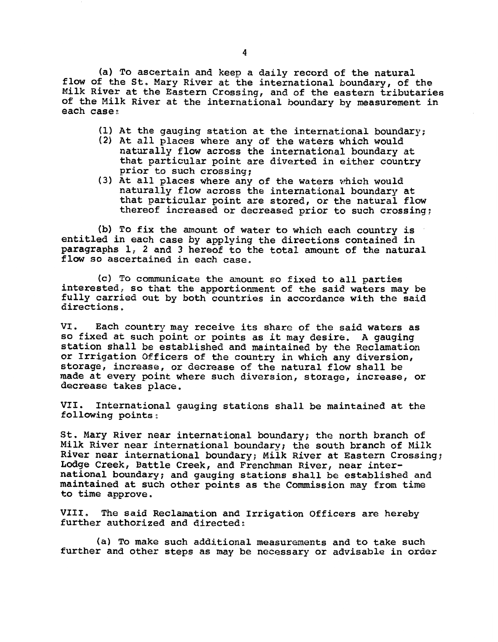(a) To ascertain and keep a daily record of the natural flow of the St. Mary River at the international boundary, of the Milk River at the Eastern Crossing, and of the eastern tributaries of the Milk River at the international boundary by measurement in each case:

- **(1)** At the gauging station at the international boundary;
- **(2)** At all places where any of the waters which would naturally flow across the international boundary at that particular point are diverted in either country prior to such crossing;
- **(3)** At all places where any of the waters which would naturally flow across the international boundary at that particular point are stored, or the natural flow thereof increased or decreased prior to such crossing;

(b) To fix the amount of water to which each country **is**  entitled in each case by applying the directions contained in paragraphs 1, **2** and **3** hereof to the total amount of the natural flow so ascertained in each case.

(c) To communicate the amount **so** fixed to all parties interested, **so** that the apportionment of the said waters may **be**  fully carried out by both countries in accordance with the said directions.

VI. Each country may receive its share of the said waters as **so** fixed at such point or points as it may desire. **A** gauging station shall be established and maintained by the Reclamation or Irrigation Officers of the country in which any diversion, storage, increase, or decrease of the natural flow shall be made at every point where such diversion, storage, increase, or decrease takes place.

VII. International gauging stations shall be maintained at the following points:

St. Mary River near international boundary; the north branch of Milk River near international boundarv; the south branch of Milk River near international boundary; Milk River at Eastern Crossing; Lodge Creek, Battle Creek, and Frenchman River, near international boundary; and gauging stations shall be established and maintained at such other points as the Commission may from time to time approve.

VIII. further authorized and directed:: The said Reclamation and Irrigation Officers are hereby

(a) To make such additional measurements and to take such further and other steps as may **be** necessary or advisable in order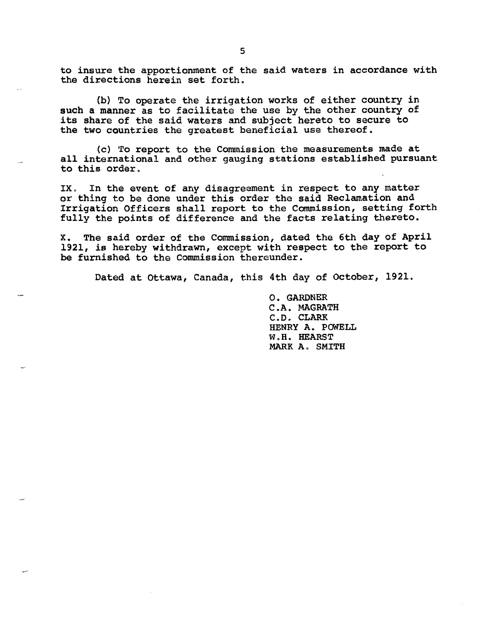to insure the apportionment of the said waters in accordance with **the** directions herein set forth.

(b) **To** operate the irrigation works of either country in **such** a manner as to facilitate the use by the other country of its share of the said waters and subject hereto to secure to the two countries the greatest beneficial use thereof.

(c) **To** report to the Commission the measurements made at all international and other gauging stations established pursuant to this order,

**IX,** In the event of any disagreement in respect to any matter or thing to **be** done under this order the said Reclamation and Irrigation Officers shall report to the Commission, setting forth fully the points of difference and the facts relating thereto.

**X.** The said order of the Commission, dated the 6th day of April 1921, is hereby withdrawn, except with respect to the report to be furnished to the Commission thereunder.

**"I** 

Dated at Ottawa, Canada, this 4th day **of** October, 1921.

0. **GARDNER**  C.A. **MAGRATH**  C.D. CLARK **HENRY** A, POWELL **W,H. HEARST PllARK A, SMITH**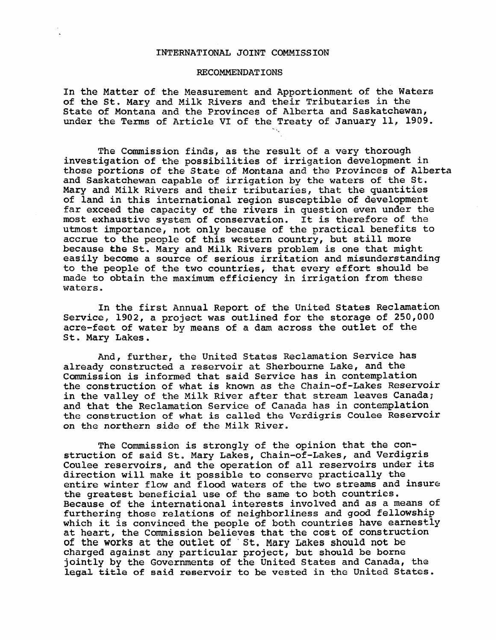## INTERNATIONAL JOINT COMMISSION

#### RECOMMENDATIONS

In the Matter of the Measurement and Apportionment of the Waters *of* the St. Mary and Milk Rivers and their Tributaries in the State of Montana and the Provinces of Alberta and Saskatchewan, under the Terms of Article VI of the Treaty of January **11,** 1909.

The Commission finds, as the result of a very thorough investigation of the possibilities of irrigation development in those portions *of* the State **of** Montana and the Provinces of Alberta and Saskatchewan capable of irrigation by the waters of the St. Mary and Milk Rivers and their tributaries, that the quantities of land in this international region susceptible of development far exceed the capacity of the rivers in question even under the most exhaustive systen of conservation. It is therefore of the utmost importance, not only because of the practical benefits to accrue to the people of this western country, but still more because **the** St. Mary and Milk Rivers problem is one that might easily become a source of serious irritation and misunderstanding to the people of the two countries, that every effort should be made to obtain the maximum efficiency in irrigation from these waters

In the first Annual Report of the United States Reclamation Service, 1902, a project was outlined for the storage of 250,000 acre-feet of water by means of a dam across the outlet of the St. Mary Lakes.

And, further, the United States Reclamation Service has already constructed a reservoir at Sherbourne Lake, and the Commission is informed that said Service has in contemplation the construction of what is known as the Chain-of-Lakes Reservoir in the valley of the Milk River after that stream leaves Canada; and that the Reclamation Service of Caaada has in contemplation the construction of what is called the Verdigris **Coulee** Reservoir on the **northern side** of the Milk River,

The Commission is strongly of the opinion that the construction of said St. Mary Lakes, Chain-of-Lakes, and Verdigris Coulee reservoirs, and the operation of all reservoirs under its direction will make it possible to conserve practically the entire winter flow and flood waters of the two streams and insure the greatest beneficial use of the same to both countries. Because of the international interests involved and as a means of furthering those relations of neighborliness and good fellowship which it is convinced the people of both countries have earnestly at heart, the Commission believes that the cost of construction of **the works at the** outlet **of 'St, Mary Lakes should** not **be**  charged against any particular project, but should **be borne**  jointly by the Governments of the United States and Canada, the **legal title of said** reservoir to be vested in the United States.